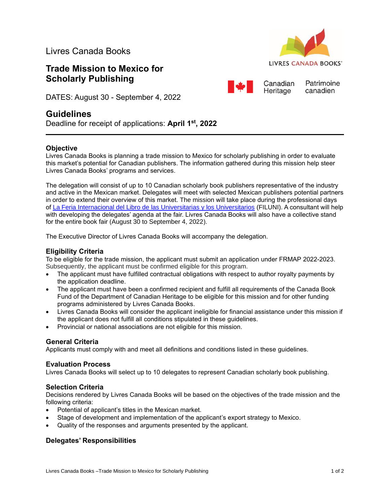Livres Canada Books

# **Trade Mission to Mexico for Scholarly Publishing**



Patrimoine

canadien

Canadian

Heritage



## **Guidelines**

Deadline for receipt of applications: **April 1 st , 2022**

### **Objective**

Livres Canada Books is planning a trade mission to Mexico for scholarly publishing in order to evaluate this market's potential for Canadian publishers. The information gathered during this mission help steer Livres Canada Books' programs and services.

The delegation will consist of up to 10 Canadian scholarly book publishers representative of the industry and active in the Mexican market. Delegates will meet with selected Mexican publishers potential partners in order to extend their overview of this market. The mission will take place during the professional days of La [Feria Internacional del Libro de las Universitarias y los Universitarios](http://www.filuni.unam.mx/eventos/) (FILUNI). A consultant will help with developing the delegates' agenda at the fair. Livres Canada Books will also have a collective stand for the entire book fair (August 30 to September 4, 2022).

The Executive Director of Livres Canada Books will accompany the delegation.

### **Eligibility Criteria**

To be eligible for the trade mission, the applicant must submit an application under FRMAP 2022-2023. Subsequently, the applicant must be confirmed eligible for this program.

- The applicant must have fulfilled contractual obligations with respect to author royalty payments by the application deadline.
- The applicant must have been a confirmed recipient and fulfill all requirements of the Canada Book Fund of the Department of Canadian Heritage to be eligible for this mission and for other funding programs administered by Livres Canada Books.
- Livres Canada Books will consider the applicant ineligible for financial assistance under this mission if the applicant does not fulfill all conditions stipulated in these guidelines.
- Provincial or national associations are not eligible for this mission.

### **General Criteria**

Applicants must comply with and meet all definitions and conditions listed in these guidelines.

### **Evaluation Process**

Livres Canada Books will select up to 10 delegates to represent Canadian scholarly book publishing.

### **Selection Criteria**

Decisions rendered by Livres Canada Books will be based on the objectives of the trade mission and the following criteria:

- Potential of applicant's titles in the Mexican market.
- Stage of development and implementation of the applicant's export strategy to Mexico.
- Quality of the responses and arguments presented by the applicant.

### **Delegates' Responsibilities**